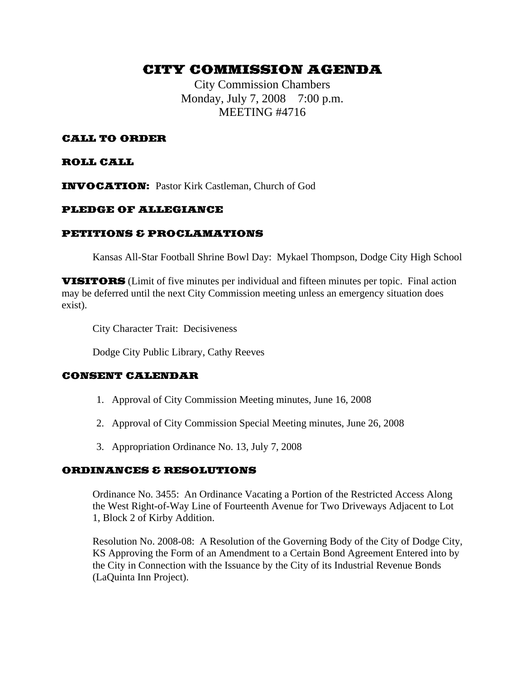# CITY COMMISSION AGENDA

City Commission Chambers Monday, July 7, 2008 7:00 p.m. MEETING #4716

# CALL TO ORDER

## ROLL CALL

INVOCATION: Pastor Kirk Castleman, Church of God

# PLEDGE OF ALLEGIANCE

## PETITIONS & PROCLAMATIONS

Kansas All-Star Football Shrine Bowl Day: Mykael Thompson, Dodge City High School

VISITORS (Limit of five minutes per individual and fifteen minutes per topic. Final action may be deferred until the next City Commission meeting unless an emergency situation does exist).

City Character Trait: Decisiveness

Dodge City Public Library, Cathy Reeves

#### CONSENT CALENDAR

- 1. Approval of City Commission Meeting minutes, June 16, 2008
- 2. Approval of City Commission Special Meeting minutes, June 26, 2008
- 3. Appropriation Ordinance No. 13, July 7, 2008

#### ORDINANCES & RESOLUTIONS

Ordinance No. 3455: An Ordinance Vacating a Portion of the Restricted Access Along the West Right-of-Way Line of Fourteenth Avenue for Two Driveways Adjacent to Lot 1, Block 2 of Kirby Addition.

Resolution No. 2008-08: A Resolution of the Governing Body of the City of Dodge City, KS Approving the Form of an Amendment to a Certain Bond Agreement Entered into by the City in Connection with the Issuance by the City of its Industrial Revenue Bonds (LaQuinta Inn Project).